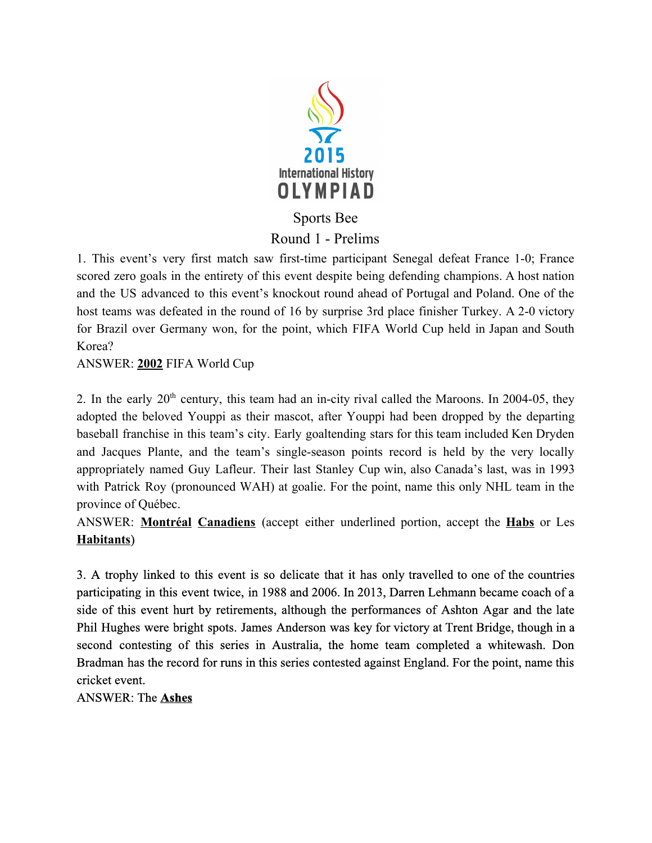

# Round 1 - Prelims

1. This event's very first match saw first-time participant Senegal defeat France 1-0; France scored zero goals in the entirety of this event despite being defending champions. A host nation and the US advanced to this event's knockout round ahead of Portugal and Poland. One of the host teams was defeated in the round of 16 by surprise 3rd place finisher Turkey. A 2-0 victory for Brazil over Germany won, for the point, which FIFA World Cup held in Japan and South Korea?

ANSWER: **2002**FIFA World Cup

2. In the early 20<sup>th</sup> century, this team had an in-city rival called the Maroons. In 2004-05, they adopted the beloved Youppi as their mascot, after Youppi had been dropped by the departing baseball franchise in this team's city. Early goaltending stars for this team included Ken Dryden and Jacques Plante, and the team's single-season points record is held by the very locally appropriately named Guy Lafleur. Their last Stanley Cup win, also Canada's last, was in 1993 with Patrick Roy (pronounced WAH) at goalie. For the point, name this only NHL team in the province of Québec.

ANSWER: **Montréal Canadiens** (accept either underlined portion, accept the **Habs** or Les **Habitants**)

3. A trophy linked to this event is so delicate that it has only travelled to one of the countries participating in this event twice, in 1988 and 2006. In 2013, Darren Lehmann became coach of a side of this event hurt by retirements, although the performances of Ashton Agar and the late Phil Hughes were bright spots. James Anderson was key for victory at Trent Bridge, though in a second contesting of this series in Australia, the home team completed a whitewash. Don Bradman has the record for runs in this series contested against England. For the point, name this cricket event.

ANSWER: The **Ashes**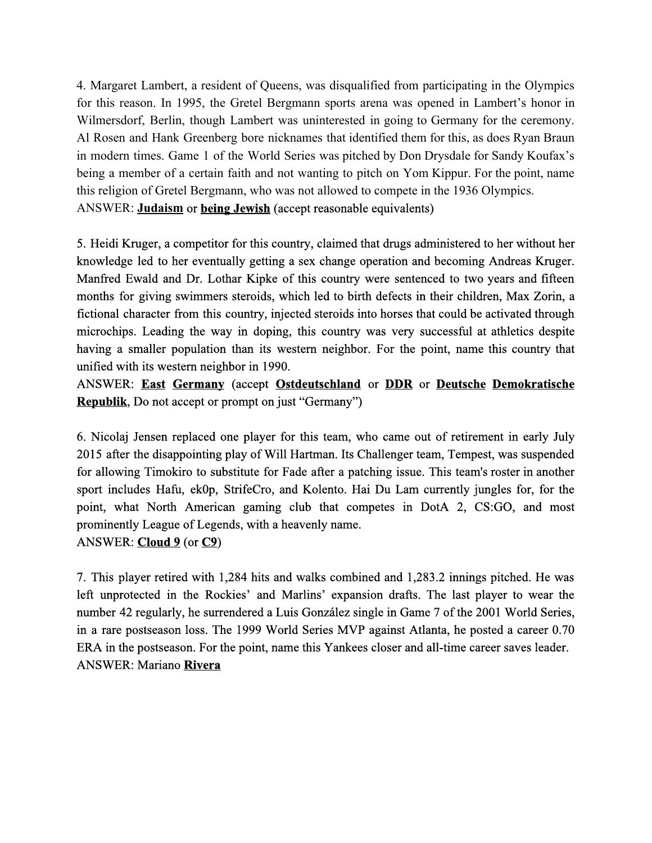4. Margaret Lambert, a resident of Queens, was disqualified from participating in the Olympics for this reason. In 1995, the Gretel Bergmann sports arena was opened in Lambert's honor in Wilmersdorf, Berlin, though Lambert was uninterested in going to Germany for the ceremony. Al Rosen and Hank Greenberg bore nicknames that identified them for this, as does Ryan Braun in modern times. Game 1 of the World Series was pitched by Don Drysdale for Sandy Koufax's being a member of a certain faith and not wanting to pitch on Yom Kippur. For the point, name this religion of Gretel Bergmann, who was not allowed to compete in the 1936 Olympics. ANSWER: **Judaism**or **being Jewish**(accept reasonable equivalents)

5. Heidi Kruger, a competitor for this country, claimed that drugs administered to her without her knowledge led to her eventually getting a sex change operation and becoming Andreas Kruger. Manfred Ewald and Dr. Lothar Kipke of this country were sentenced to two years and fifteen months for giving swimmers steroids, which led to birth defects in their children, Max Zorin, a fictional character from this country, injected steroids into horses that could be activated through microchips. Leading the way in doping, this country was very successful at athletics despite having a smaller population than its western neighbor. For the point, name this country that unified with its western neighbor in 1990.

ANSWER: **East Germany** (accept **Ostdeutschland** or **DDR** or **Deutsche Demokratische Republik**, Do not accept or prompt on just "Germany")

6. Nicolaj Jensen replaced one player for this team, who came out of retirement in early July 2015 after the disappointing play of Will Hartman. Its Challenger team, Tempest, was suspended for allowing Timokiro to substitute for Fade after a patching issue. This team's roster in another sport includes Hafu, ek0p, StrifeCro, and Kolento. Hai Du Lam currently jungles for, for the point, what North American gaming club that competes in DotA 2, CS:GO, and most prominently League of Legends, with a heavenly name. ANSWER: **Cloud 9**(or **C9**)

7. This player retired with 1,284 hits and walks combined and 1,283.2 innings pitched. He was left unprotected in the Rockies' and Marlins' expansion drafts. The last player to wear the number 42 regularly, he surrendered a Luis González single in Game 7 of the 2001 World Series, in a rare postseason loss. The 1999 World Series MVP against Atlanta, he posted a career 0.70 ERA in the postseason. For the point, name this Yankees closer and all-time career saves leader. ANSWER: Mariano **Rivera**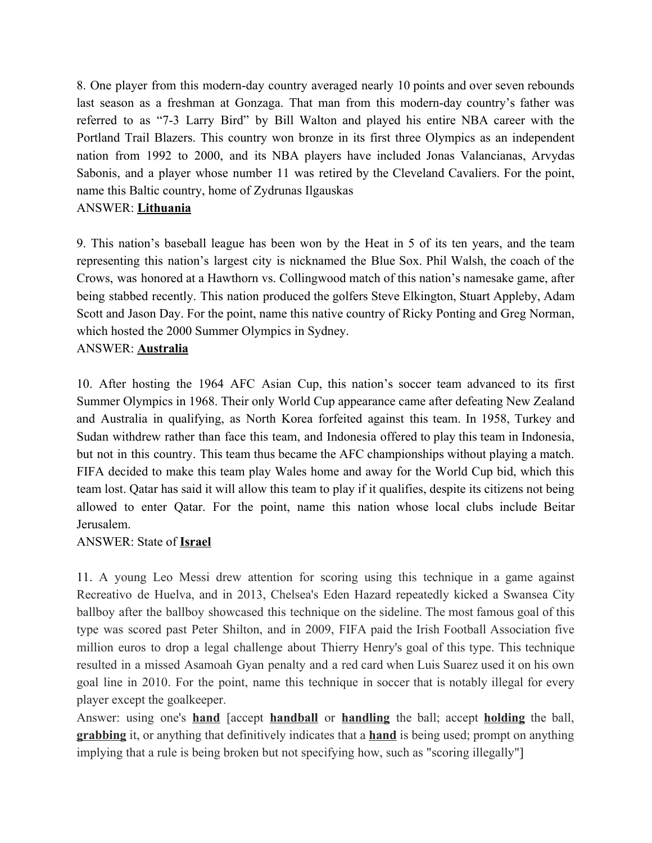8. One player from this modern-day country averaged nearly 10 points and over seven rebounds last season as a freshman at Gonzaga. That man from this modern-day country's father was referred to as "7-3 Larry Bird" by Bill Walton and played his entire NBA career with the Portland Trail Blazers. This country won bronze in its first three Olympics as an independent nation from 1992 to 2000, and its NBA players have included Jonas Valancianas, Arvydas Sabonis, and a player whose number 11 was retired by the Cleveland Cavaliers. For the point, name this Baltic country, home of Zydrunas Ilgauskas

### ANSWER: **Lithuania**

9. This nation's baseball league has been won by the Heat in 5 of its ten years, and the team representing this nation's largest city is nicknamed the Blue Sox. Phil Walsh, the coach of the Crows, was honored at a Hawthorn vs. Collingwood match of this nation's namesake game, after being stabbed recently. This nation produced the golfers Steve Elkington, Stuart Appleby, Adam Scott and Jason Day. For the point, name this native country of Ricky Ponting and Greg Norman, which hosted the 2000 Summer Olympics in Sydney.

### ANSWER: **Australia**

10. After hosting the 1964 AFC Asian Cup, this nation's soccer team advanced to its first Summer Olympics in 1968. Their only World Cup appearance came after defeating New Zealand and Australia in qualifying, as North Korea forfeited against this team. In 1958, Turkey and Sudan withdrew rather than face this team, and Indonesia offered to play this team in Indonesia, but not in this country. This team thus became the AFC championships without playing a match. FIFA decided to make this team play Wales home and away for the World Cup bid, which this team lost. Qatar has said it will allow this team to play if it qualifies, despite its citizens not being allowed to enter Qatar. For the point, name this nation whose local clubs include Beitar Jerusalem.

### ANSWER: State of **Israel**

11. A young Leo Messi drew attention for scoring using this technique in a game against Recreativo de Huelva, and in 2013, Chelsea's Eden Hazard repeatedly kicked a Swansea City ballboy after the ballboy showcased this technique on the sideline. The most famous goal of this type was scored past Peter Shilton, and in 2009, FIFA paid the Irish Football Association five million euros to drop a legal challenge about Thierry Henry's goal of this type. This technique resulted in a missed Asamoah Gyan penalty and a red card when Luis Suarez used it on his own goal line in 2010. For the point, name this technique in soccer that is notably illegal for every player except the goalkeeper.

Answer: using one's **hand** [accept **handball** or **handling** the ball; accept **holding** the ball, **grabbing** it, or anything that definitively indicates that a **hand** is being used; prompt on anything implying that a rule is being broken but not specifying how, such as "scoring illegally"]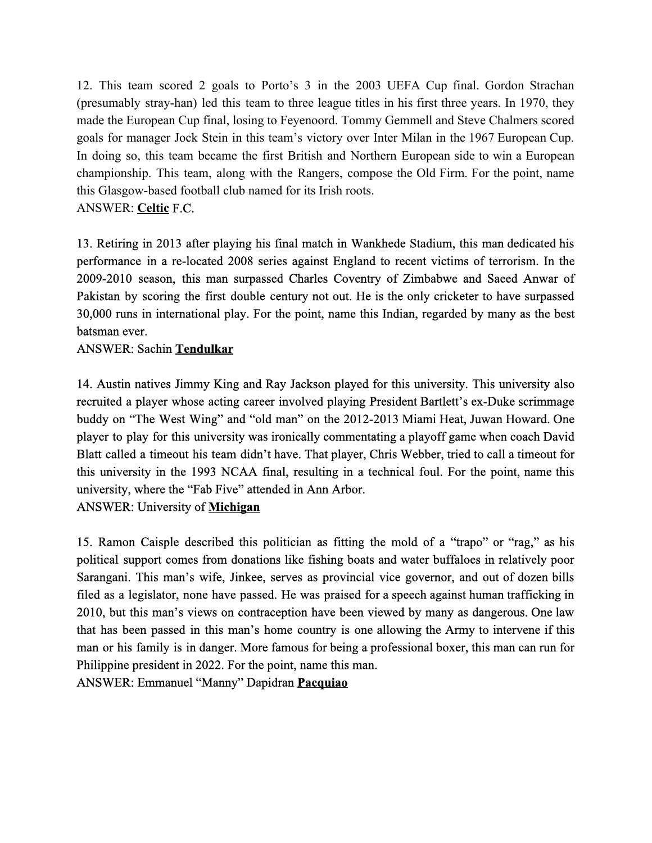12. This team scored 2 goals to Porto's 3 in the 2003 UEFA Cup final. Gordon Strachan (presumably strayhan) led this team to three league titles in his first three years. In 1970, they made the European Cup final, losing to Feyenoord. Tommy Gemmell and Steve Chalmers scored goals for manager Jock Stein in this team's victory over Inter Milan in the 1967 European Cup. In doing so, this team became the first British and Northern European side to win a European championship. This team, along with the Rangers, compose the Old Firm. For the point, name this Glasgow-based football club named for its Irish roots.

ANSWER: **Celtic**F.C.

13. Retiring in 2013 after playing his final match in Wankhede Stadium, this man dedicated his performance in a relocated 2008 series against England to recent victims of terrorism. In the 2009-2010 season, this man surpassed Charles Coventry of Zimbabwe and Saeed Anwar of Pakistan by scoring the first double century not out. He is the only cricketer to have surpassed 30,000 runs in international play. For the point, name this Indian, regarded by many as the best batsman ever.

ANSWER: Sachin **Tendulkar**

14. Austin natives Jimmy King and Ray Jackson played for this university. This university also recruited a player whose acting career involved playing President Bartlett's ex-Duke scrimmage buddy on "The West Wing" and "old man" on the 2012-2013 Miami Heat, Juwan Howard. One player to play for this university was ironically commentating a playoff game when coach David Blatt called a timeout his team didn't have. That player, Chris Webber, tried to call a timeout for this university in the 1993 NCAA final, resulting in a technical foul. For the point, name this university, where the "Fab Five" attended in Ann Arbor. ANSWER: University of **Michigan**

15. Ramon Caisple described this politician as fitting the mold of a "trapo" or "rag," as his political support comes from donations like fishing boats and water buffaloes in relatively poor Sarangani. This man's wife, Jinkee, serves as provincial vice governor, and out of dozen bills filed as a legislator, none have passed. He was praised for a speech against human trafficking in 2010, but this man's views on contraception have been viewed by many as dangerous. One law that has been passed in this man's home country is one allowing the Army to intervene if this man or his family is in danger. More famous for being a professional boxer, this man can run for Philippine president in 2022. For the point, name this man. ANSWER: Emmanuel "Manny" Dapidran **Pacquiao**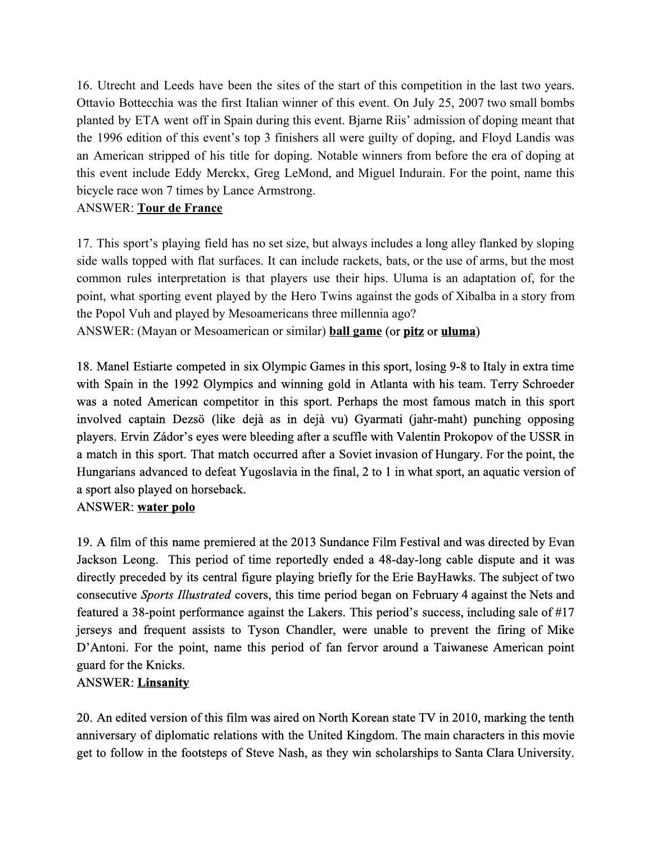16. Utrecht and Leeds have been the sites of the start of this competition in the last two years. Ottavio Bottecchia was the first Italian winner of this event. On July 25, 2007 two small bombs planted by ETA went off in Spain during this event. Bjarne Riis' admission of doping meant that the 1996 edition of this event's top 3 finishers all were guilty of doping, and Floyd Landis was an American stripped of his title for doping. Notable winners from before the era of doping at this event include Eddy Merckx, Greg LeMond, and Miguel Indurain. For the point, name this bicycle race won 7 times by Lance Armstrong.

### ANSWER: **Tour de France**

17. This sport's playing field has no set size, but always includes a long alley flanked by sloping side walls topped with flat surfaces. It can include rackets, bats, or the use of arms, but the most common rules interpretation is that players use their hips. Uluma is an adaptation of, for the point, what sporting event played by the Hero Twins against the gods of Xibalba in a story from the Popol Vuh and played by Mesoamericans three millennia ago?

ANSWER: (Mayan or Mesoamerican or similar) **ball game**(or **pitz**or **uluma**)

18. Manel Estiarte competed in six Olympic Games in this sport, losing 9-8 to Italy in extra time with Spain in the 1992 Olympics and winning gold in Atlanta with his team. Terry Schroeder was a noted American competitor in this sport. Perhaps the most famous match in this sport involved captain Dezsö (like dejà as in dejà vu) Gyarmati (jahr-maht) punching opposing players. Ervin Zádor's eyes were bleeding after a scuffle with Valentin Prokopov of the USSR in a match in this sport. That match occurred after a Soviet invasion of Hungary. For the point, the Hungarians advanced to defeat Yugoslavia in the final, 2 to 1 in what sport, an aquatic version of a sport also played on horseback.

### ANSWER: **water polo**

19. A film of this name premiered at the 2013 Sundance Film Festival and was directed by Evan Jackson Leong. This period of time reportedly ended a 48-day-long cable dispute and it was directly preceded by its central figure playing briefly for the Erie BayHawks. The subject of two consecutive *Sports Illustrated* covers, this time period began on February 4 against the Nets and featured a 38-point performance against the Lakers. This period's success, including sale of  $#17$ jerseys and frequent assists to Tyson Chandler, were unable to prevent the firing of Mike D'Antoni. For the point, name this period of fan fervor around a Taiwanese American point guard for the Knicks.

# ANSWER: **Linsanity**

20. An edited version of this film was aired on North Korean state TV in 2010, marking the tenth anniversary of diplomatic relations with the United Kingdom. The main characters in this movie get to follow in the footsteps of Steve Nash, as they win scholarships to Santa Clara University.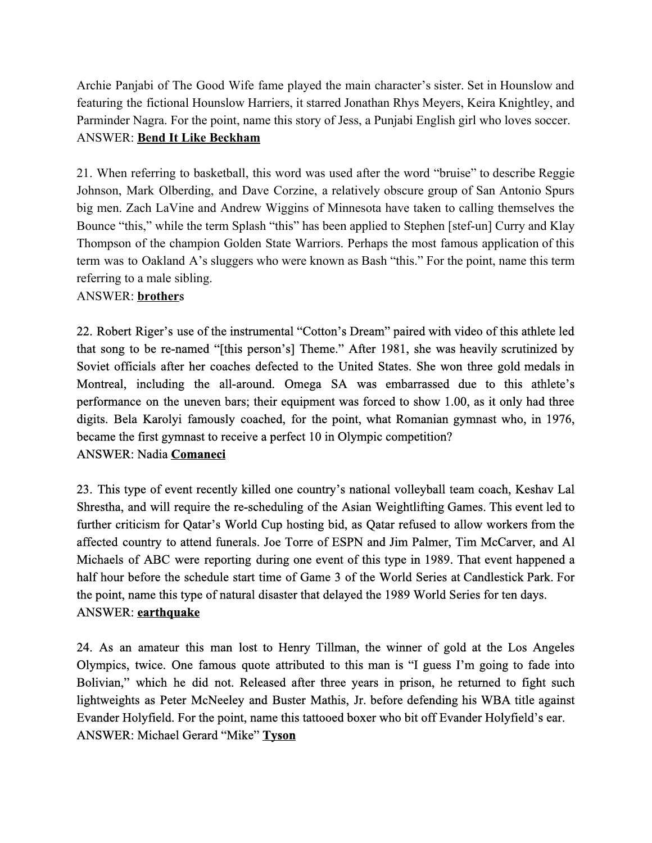Archie Panjabi of The Good Wife fame played the main character's sister. Set in Hounslow and featuring the fictional Hounslow Harriers, it starred Jonathan Rhys Meyers, Keira Knightley, and Parminder Nagra. For the point, name this story of Jess, a Punjabi English girl who loves soccer. ANSWER: **Bend It Like Beckham**

21. When referring to basketball, this word was used after the word "bruise" to describe Reggie Johnson, Mark Olberding, and Dave Corzine, a relatively obscure group of San Antonio Spurs big men. Zach LaVine and Andrew Wiggins of Minnesota have taken to calling themselves the Bounce "this," while the term Splash "this" has been applied to Stephen [stef-un] Curry and Klay Thompson of the champion Golden State Warriors. Perhaps the most famous application of this term was to Oakland A's sluggers who were known as Bash "this." For the point, name this term referring to a male sibling.

# ANSWER: **brother**s

22. Robert Riger's use of the instrumental "Cotton's Dream" paired with video of this athlete led that song to be renamed "[this person's] Theme." After 1981, she was heavily scrutinized by Soviet officials after her coaches defected to the United States. She won three gold medals in Montreal, including the all-around. Omega SA was embarrassed due to this athlete's performance on the uneven bars; their equipment was forced to show 1.00, as it only had three digits. Bela Karolyi famously coached, for the point, what Romanian gymnast who, in 1976, became the first gymnast to receive a perfect 10 in Olympic competition? ANSWER: Nadia **Comaneci**

23. This type of event recently killed one country's national volleyball team coach, Keshav Lal Shrestha, and will require the rescheduling of the Asian Weightlifting Games. This event led to further criticism for Qatar's World Cup hosting bid, as Qatar refused to allow workers from the affected country to attend funerals. Joe Torre of ESPN and Jim Palmer, Tim McCarver, and Al Michaels of ABC were reporting during one event of this type in 1989. That event happened a half hour before the schedule start time of Game 3 of the World Series at Candlestick Park. For the point, name this type of natural disaster that delayed the 1989 World Series for ten days. ANSWER: **earthquake**

24. As an amateur this man lost to Henry Tillman, the winner of gold at the Los Angeles Olympics, twice. One famous quote attributed to this man is "I guess I'm going to fade into Bolivian," which he did not. Released after three years in prison, he returned to fight such lightweights as Peter McNeeley and Buster Mathis, Jr. before defending his WBA title against Evander Holyfield. For the point, name this tattooed boxer who bit off Evander Holyfield's ear. ANSWER: Michael Gerard "Mike" **Tyson**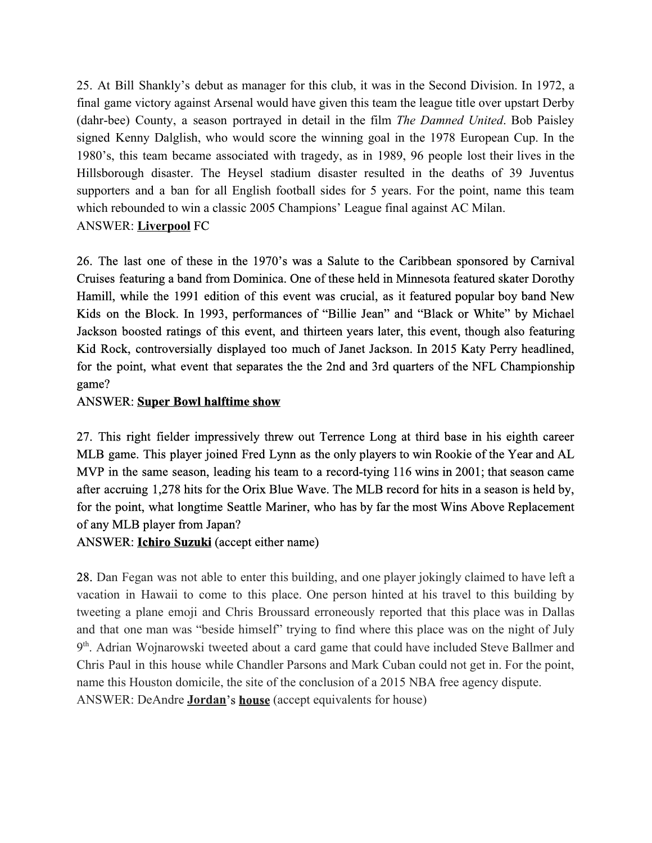25. At Bill Shankly's debut as manager for this club, it was in the Second Division. In 1972, a final game victory against Arsenal would have given this team the league title over upstart Derby (dahrbee) County, a season portrayed in detail in the film *The Damned United*. Bob Paisley signed Kenny Dalglish, who would score the winning goal in the 1978 European Cup. In the 1980's, this team became associated with tragedy, as in 1989, 96 people lost their lives in the Hillsborough disaster. The Heysel stadium disaster resulted in the deaths of 39 Juventus supporters and a ban for all English football sides for 5 years. For the point, name this team which rebounded to win a classic 2005 Champions' League final against AC Milan. ANSWER: **Liverpool**FC

26. The last one of these in the 1970's was a Salute to the Caribbean sponsored by Carnival Cruises featuring a band from Dominica. One of these held in Minnesota featured skater Dorothy Hamill, while the 1991 edition of this event was crucial, as it featured popular boy band New Kids on the Block. In 1993, performances of "Billie Jean" and "Black or White" by Michael Jackson boosted ratings of this event, and thirteen years later, this event, though also featuring Kid Rock, controversially displayed too much of Janet Jackson. In 2015 Katy Perry headlined, for the point, what event that separates the the 2nd and 3rd quarters of the NFL Championship game?

### ANSWER: **Super Bowl halftime show**

27. This right fielder impressively threw out Terrence Long at third base in his eighth career MLB game. This player joined Fred Lynn as the only players to win Rookie of the Year and AL MVP in the same season, leading his team to a record-tying 116 wins in 2001; that season came after accruing 1,278 hits for the Orix Blue Wave. The MLB record for hits in a season is held by, for the point, what longtime Seattle Mariner, who has by far the most Wins Above Replacement of any MLB player from Japan?

### ANSWER: **Ichiro Suzuki**(accept either name)

28. Dan Fegan was not able to enter this building, and one player jokingly claimed to have left a vacation in Hawaii to come to this place. One person hinted at his travel to this building by tweeting a plane emoji and Chris Broussard erroneously reported that this place was in Dallas and that one man was "beside himself" trying to find where this place was on the night of July 9<sup>th</sup>. Adrian Wojnarowski tweeted about a card game that could have included Steve Ballmer and Chris Paul in this house while Chandler Parsons and Mark Cuban could not get in. For the point, name this Houston domicile, the site of the conclusion of a 2015 NBA free agency dispute. ANSWER: DeAndre **Jordan**'s **house**(accept equivalents for house)